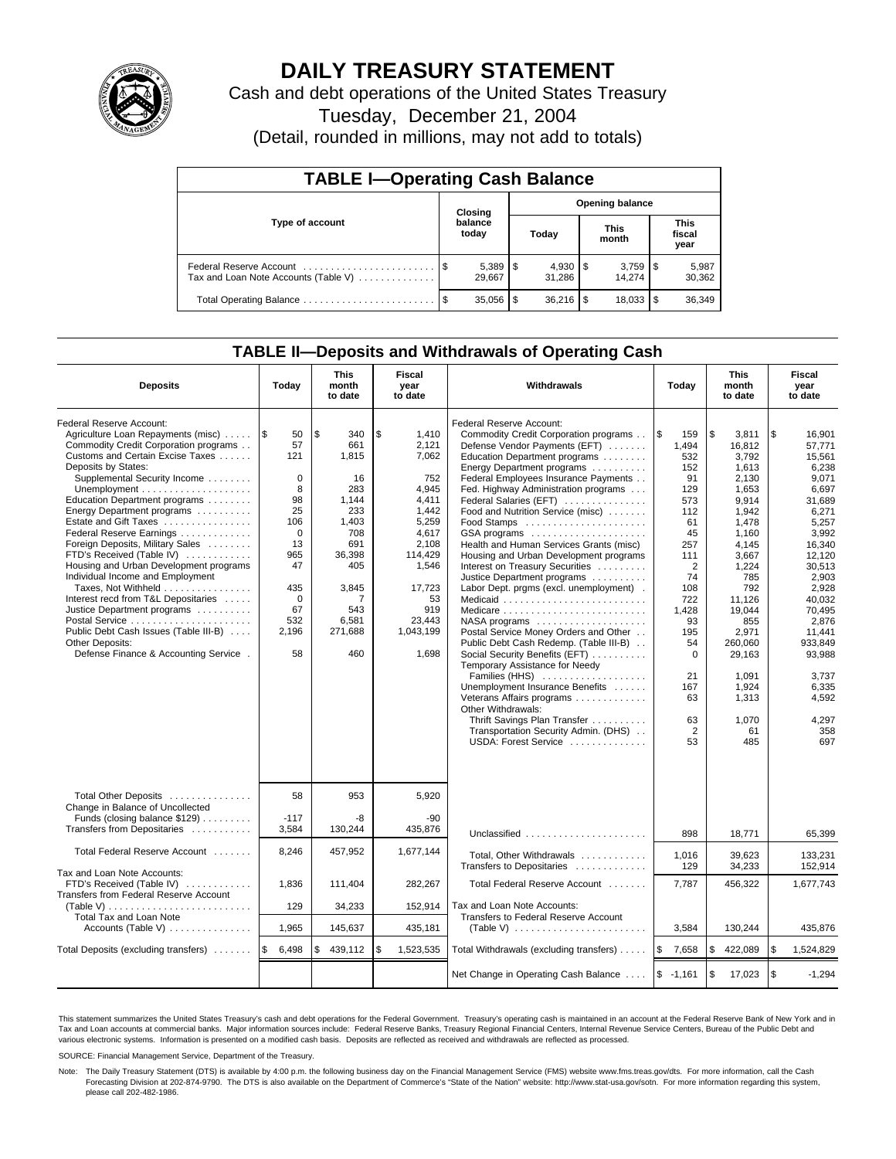

## **DAILY TREASURY STATEMENT**

Cash and debt operations of the United States Treasury

Tuesday, December 21, 2004

(Detail, rounded in millions, may not add to totals)

| <b>TABLE I-Operating Cash Balance</b>                           |      |                  |                        |        |  |                      |  |                               |  |  |
|-----------------------------------------------------------------|------|------------------|------------------------|--------|--|----------------------|--|-------------------------------|--|--|
|                                                                 |      | Closing          | <b>Opening balance</b> |        |  |                      |  |                               |  |  |
| Type of account                                                 |      | balance<br>today |                        | Today  |  | <b>This</b><br>month |  | <b>This</b><br>fiscal<br>year |  |  |
| Federal Reserve Account<br>Tax and Loan Note Accounts (Table V) |      | 29.667           |                        | 31.286 |  | 14.274               |  | 5,987<br>30,362               |  |  |
| Total Operating Balance                                         | - \$ | 35,056           | \$                     |        |  | 18.033               |  | 36,349                        |  |  |

### **TABLE II—Deposits and Withdrawals of Operating Cash**

| <b>Deposits</b>                                                                                                                                                                                                                                                                                                                                                                                                                                                                                                                                                                                                                                                         | Today                                                                                                                                          | <b>This</b><br>month<br>to date                                                                                                                | <b>Fiscal</b><br><b>Withdrawals</b><br>year<br>to date                                                                                                                |                                                                                                                                                                                                                                                                                                                                                                                                                                                                                                                                                                                                                                                                                                                                                                                                                                                                                                               | Today                                                                                                                                                                                                                  | <b>This</b><br>month<br>to date                                                                                                                                                                                                                  | Fiscal<br>year<br>to date                                                                                                                                                                                                                                      |
|-------------------------------------------------------------------------------------------------------------------------------------------------------------------------------------------------------------------------------------------------------------------------------------------------------------------------------------------------------------------------------------------------------------------------------------------------------------------------------------------------------------------------------------------------------------------------------------------------------------------------------------------------------------------------|------------------------------------------------------------------------------------------------------------------------------------------------|------------------------------------------------------------------------------------------------------------------------------------------------|-----------------------------------------------------------------------------------------------------------------------------------------------------------------------|---------------------------------------------------------------------------------------------------------------------------------------------------------------------------------------------------------------------------------------------------------------------------------------------------------------------------------------------------------------------------------------------------------------------------------------------------------------------------------------------------------------------------------------------------------------------------------------------------------------------------------------------------------------------------------------------------------------------------------------------------------------------------------------------------------------------------------------------------------------------------------------------------------------|------------------------------------------------------------------------------------------------------------------------------------------------------------------------------------------------------------------------|--------------------------------------------------------------------------------------------------------------------------------------------------------------------------------------------------------------------------------------------------|----------------------------------------------------------------------------------------------------------------------------------------------------------------------------------------------------------------------------------------------------------------|
| Federal Reserve Account:<br>Agriculture Loan Repayments (misc)<br>Commodity Credit Corporation programs<br>Customs and Certain Excise Taxes<br>Deposits by States:<br>Supplemental Security Income<br>Education Department programs<br>Energy Department programs<br>Estate and Gift Taxes<br>Federal Reserve Earnings<br>Foreign Deposits, Military Sales<br>FTD's Received (Table IV)<br>Housing and Urban Development programs<br>Individual Income and Employment<br>Taxes, Not Withheld<br>Interest recd from T&L Depositaries<br>Justice Department programs<br>Public Debt Cash Issues (Table III-B)<br>Other Deposits:<br>Defense Finance & Accounting Service. | 1\$<br>50<br>57<br>121<br>$\mathbf 0$<br>8<br>98<br>25<br>106<br>$\Omega$<br>13<br>965<br>47<br>435<br>$\mathbf 0$<br>67<br>532<br>2,196<br>58 | \$<br>340<br>661<br>1.815<br>16<br>283<br>1,144<br>233<br>1.403<br>708<br>691<br>36,398<br>405<br>3,845<br>7<br>543<br>6,581<br>271,688<br>460 | \$<br>1,410<br>2,121<br>7,062<br>752<br>4.945<br>4,411<br>1,442<br>5.259<br>4.617<br>2.108<br>114,429<br>1,546<br>17,723<br>53<br>919<br>23.443<br>1,043,199<br>1,698 | Federal Reserve Account:<br>Commodity Credit Corporation programs<br>Defense Vendor Payments (EFT)<br>Education Department programs<br>Energy Department programs<br>Federal Employees Insurance Payments<br>Fed. Highway Administration programs<br>Federal Salaries (EFT)<br>Food and Nutrition Service (misc)<br>GSA programs<br>Health and Human Services Grants (misc)<br>Housing and Urban Development programs<br>Interest on Treasury Securities<br>Justice Department programs<br>Labor Dept. prgms (excl. unemployment).<br>Medicare<br>Postal Service Money Orders and Other<br>Public Debt Cash Redemp. (Table III-B)<br>Social Security Benefits (EFT)<br>Temporary Assistance for Needy<br>Families (HHS)<br>Unemployment Insurance Benefits<br>Veterans Affairs programs<br>Other Withdrawals:<br>Thrift Savings Plan Transfer<br>Transportation Security Admin. (DHS)<br>USDA: Forest Service | l \$<br>159<br>1,494<br>532<br>152<br>91<br>129<br>573<br>112<br>61<br>45<br>257<br>111<br>$\overline{2}$<br>74<br>108<br>722<br>1,428<br>93<br>195<br>54<br>$\Omega$<br>21<br>167<br>63<br>63<br>$\overline{2}$<br>53 | \$<br>3,811<br>16.812<br>3,792<br>1,613<br>2.130<br>1,653<br>9,914<br>1,942<br>1.478<br>1,160<br>4,145<br>3,667<br>1,224<br>785<br>792<br>11.126<br>19.044<br>855<br>2.971<br>260,060<br>29,163<br>1.091<br>1,924<br>1,313<br>1,070<br>61<br>485 | \$<br>16,901<br>57.771<br>15.561<br>6,238<br>9.071<br>6,697<br>31,689<br>6,271<br>5.257<br>3.992<br>16,340<br>12.120<br>30,513<br>2,903<br>2,928<br>40.032<br>70.495<br>2,876<br>11.441<br>933.849<br>93,988<br>3.737<br>6,335<br>4,592<br>4,297<br>358<br>697 |
| Total Other Deposits<br>Change in Balance of Uncollected<br>Funds (closing balance \$129)<br>Transfers from Depositaries                                                                                                                                                                                                                                                                                                                                                                                                                                                                                                                                                | 58<br>$-117$<br>3.584                                                                                                                          | 953<br>-8<br>130,244                                                                                                                           | 5,920<br>$-90$<br>435.876                                                                                                                                             | Unclassified                                                                                                                                                                                                                                                                                                                                                                                                                                                                                                                                                                                                                                                                                                                                                                                                                                                                                                  | 898                                                                                                                                                                                                                    | 18,771                                                                                                                                                                                                                                           | 65.399                                                                                                                                                                                                                                                         |
| Total Federal Reserve Account                                                                                                                                                                                                                                                                                                                                                                                                                                                                                                                                                                                                                                           | 8,246                                                                                                                                          | 457,952                                                                                                                                        | 1,677,144                                                                                                                                                             | Total, Other Withdrawals<br>Transfers to Depositaries                                                                                                                                                                                                                                                                                                                                                                                                                                                                                                                                                                                                                                                                                                                                                                                                                                                         | 1,016<br>129                                                                                                                                                                                                           | 39,623<br>34,233                                                                                                                                                                                                                                 | 133,231<br>152,914                                                                                                                                                                                                                                             |
| Tax and Loan Note Accounts:<br>FTD's Received (Table IV)<br>Transfers from Federal Reserve Account<br>(Table V)                                                                                                                                                                                                                                                                                                                                                                                                                                                                                                                                                         | 1,836<br>129                                                                                                                                   | 111,404<br>34,233                                                                                                                              | 282,267<br>152,914                                                                                                                                                    | Total Federal Reserve Account<br>Tax and Loan Note Accounts:                                                                                                                                                                                                                                                                                                                                                                                                                                                                                                                                                                                                                                                                                                                                                                                                                                                  | 7,787                                                                                                                                                                                                                  | 456,322                                                                                                                                                                                                                                          | 1,677,743                                                                                                                                                                                                                                                      |
| <b>Total Tax and Loan Note</b><br>Accounts (Table V)                                                                                                                                                                                                                                                                                                                                                                                                                                                                                                                                                                                                                    | 1,965                                                                                                                                          | 145,637                                                                                                                                        | 435,181                                                                                                                                                               | Transfers to Federal Reserve Account                                                                                                                                                                                                                                                                                                                                                                                                                                                                                                                                                                                                                                                                                                                                                                                                                                                                          | 3,584                                                                                                                                                                                                                  | 130,244                                                                                                                                                                                                                                          | 435,876                                                                                                                                                                                                                                                        |
| Total Deposits (excluding transfers)                                                                                                                                                                                                                                                                                                                                                                                                                                                                                                                                                                                                                                    | l \$<br>6,498                                                                                                                                  | 439,112<br>\$                                                                                                                                  | \$<br>1,523,535                                                                                                                                                       | Total Withdrawals (excluding transfers)                                                                                                                                                                                                                                                                                                                                                                                                                                                                                                                                                                                                                                                                                                                                                                                                                                                                       | l \$<br>7,658                                                                                                                                                                                                          | \$<br>422,089                                                                                                                                                                                                                                    | l \$<br>1,524,829                                                                                                                                                                                                                                              |
|                                                                                                                                                                                                                                                                                                                                                                                                                                                                                                                                                                                                                                                                         |                                                                                                                                                |                                                                                                                                                |                                                                                                                                                                       | Net Change in Operating Cash Balance                                                                                                                                                                                                                                                                                                                                                                                                                                                                                                                                                                                                                                                                                                                                                                                                                                                                          | $$ -1,161$                                                                                                                                                                                                             | \$<br>17,023                                                                                                                                                                                                                                     | l \$<br>$-1,294$                                                                                                                                                                                                                                               |

This statement summarizes the United States Treasury's cash and debt operations for the Federal Government. Treasury's operating cash is maintained in an account at the Federal Reserve Bank of New York and in Tax and Loan accounts at commercial banks. Major information sources include: Federal Reserve Banks, Treasury Regional Financial Centers, Internal Revenue Service Centers, Bureau of the Public Debt and<br>various electronic s

SOURCE: Financial Management Service, Department of the Treasury.

Note: The Daily Treasury Statement (DTS) is available by 4:00 p.m. the following business day on the Financial Management Service (FMS) website www.fms.treas.gov/dts. For more information, call the Cash Forecasting Division at 202-874-9790. The DTS is also available on the Department of Commerce's "State of the Nation" website: http://www.stat-usa.gov/sotn. For more information regarding this system, please call 202-482-1986.